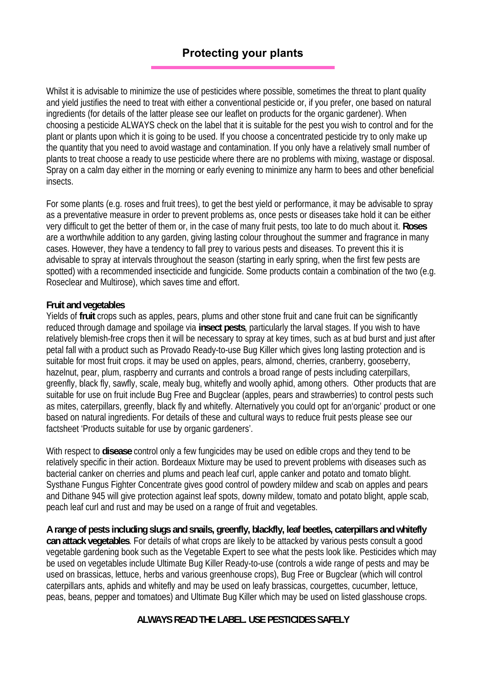## **Protecting your plants**

Whilst it is advisable to minimize the use of pesticides where possible, sometimes the threat to plant quality and yield justifies the need to treat with either a conventional pesticide or, if you prefer, one based on natural ingredients (for details of the latter please see our leaflet on products for the organic gardener). When choosing a pesticide ALWAYS check on the label that it is suitable for the pest you wish to control and for the plant or plants upon which it is going to be used. If you choose a concentrated pesticide try to only make up the quantity that you need to avoid wastage and contamination. If you only have a relatively small number of plants to treat choose a ready to use pesticide where there are no problems with mixing, wastage or disposal. Spray on a calm day either in the morning or early evening to minimize any harm to bees and other beneficial insects.

For some plants (e.g. roses and fruit trees), to get the best yield or performance, it may be advisable to spray as a preventative measure in order to prevent problems as, once pests or diseases take hold it can be either very difficult to get the better of them or, in the case of many fruit pests, too late to do much about it. **Roses**  are a worthwhile addition to any garden, giving lasting colour throughout the summer and fragrance in many cases. However, they have a tendency to fall prey to various pests and diseases. To prevent this it is advisable to spray at intervals throughout the season (starting in early spring, when the first few pests are spotted) with a recommended insecticide and fungicide. Some products contain a combination of the two (e.g. Roseclear and Multirose), which saves time and effort.

## **Fruit and vegetables**

Yields of **fruit** crops such as apples, pears, plums and other stone fruit and cane fruit can be significantly reduced through damage and spoilage via **insect pests**, particularly the larval stages. If you wish to have relatively blemish-free crops then it will be necessary to spray at key times, such as at bud burst and just after petal fall with a product such as Provado Ready-to-use Bug Killer which gives long lasting protection and is suitable for most fruit crops. it may be used on apples, pears, almond, cherries, cranberry, gooseberry, hazelnut, pear, plum, raspberry and currants and controls a broad range of pests including caterpillars, greenfly, black fly, sawfly, scale, mealy bug, whitefly and woolly aphid, among others. Other products that are suitable for use on fruit include Bug Free and Bugclear (apples, pears and strawberries) to control pests such as mites, caterpillars, greenfly, black fly and whitefly. Alternatively you could opt for an'organic' product or one based on natural ingredients. For details of these and cultural ways to reduce fruit pests please see our factsheet 'Products suitable for use by organic gardeners'.

With respect to **disease** control only a few fungicides may be used on edible crops and they tend to be relatively specific in their action. Bordeaux Mixture may be used to prevent problems with diseases such as bacterial canker on cherries and plums and peach leaf curl, apple canker and potato and tomato blight. Systhane Fungus Fighter Concentrate gives good control of powdery mildew and scab on apples and pears and Dithane 945 will give protection against leaf spots, downy mildew, tomato and potato blight, apple scab, peach leaf curl and rust and may be used on a range of fruit and vegetables.

**A range of pests including slugs and snails, greenfly, blackfly, leaf beetles, caterpillars and whitefly can attack vegetables**. For details of what crops are likely to be attacked by various pests consult a good vegetable gardening book such as the Vegetable Expert to see what the pests look like. Pesticides which may be used on vegetables include Ultimate Bug Killer Ready-to-use (controls a wide range of pests and may be used on brassicas, lettuce, herbs and various greenhouse crops), Bug Free or Bugclear (which will control caterpillars ants, aphids and whitefly and may be used on leafy brassicas, courgettes, cucumber, lettuce, peas, beans, pepper and tomatoes) and Ultimate Bug Killer which may be used on listed glasshouse crops.

## **ALWAYS READ THE LABEL. USE PESTICIDES SAFELY**